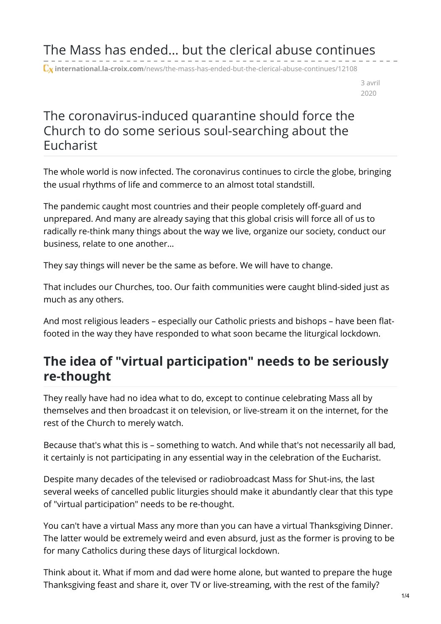# The Mass has ended… but the clerical abuse continues

**international.la-croix.com**[/news/the-mass-has-ended-but-the-clerical-abuse-continues/12108](https://international.la-croix.com/news/the-mass-has-ended-but-the-clerical-abuse-continues/12108)

3 avril 2020

#### The coronavirus-induced quarantine should force the Church to do some serious soul-searching about the Eucharist

The whole world is now infected. The coronavirus continues to circle the globe, bringing the usual rhythms of life and commerce to an almost total standstill.

The pandemic caught most countries and their people completely off-guard and unprepared. And many are already saying that this global crisis will force all of us to radically re-think many things about the way we live, organize our society, conduct our business, relate to one another…

They say things will never be the same as before. We will have to change.

That includes our Churches, too. Our faith communities were caught blind-sided just as much as any others.

And most religious leaders – especially our Catholic priests and bishops – have been flatfooted in the way they have responded to what soon became the liturgical lockdown.

### **The idea of "virtual participation" needs to be seriously re-thought**

They really have had no idea what to do, except to continue celebrating Mass all by themselves and then broadcast it on television, or live-stream it on the internet, for the rest of the Church to merely watch.

Because that's what this is – something to watch. And while that's not necessarily all bad, it certainly is not participating in any essential way in the celebration of the Eucharist.

Despite many decades of the televised or radiobroadcast Mass for Shut-ins, the last several weeks of cancelled public liturgies should make it abundantly clear that this type of "virtual participation" needs to be re-thought.

You can't have a virtual Mass any more than you can have a virtual Thanksgiving Dinner. The latter would be extremely weird and even absurd, just as the former is proving to be for many Catholics during these days of liturgical lockdown.

Think about it. What if mom and dad were home alone, but wanted to prepare the huge Thanksgiving feast and share it, over TV or live-streaming, with the rest of the family?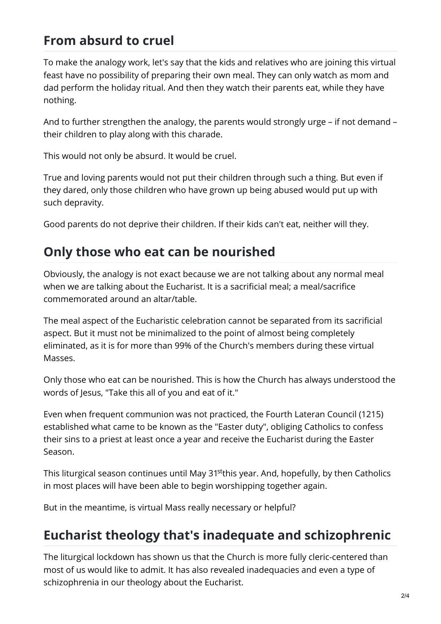### **From absurd to cruel**

To make the analogy work, let's say that the kids and relatives who are joining this virtual feast have no possibility of preparing their own meal. They can only watch as mom and dad perform the holiday ritual. And then they watch their parents eat, while they have nothing.

And to further strengthen the analogy, the parents would strongly urge – if not demand – their children to play along with this charade.

This would not only be absurd. It would be cruel.

True and loving parents would not put their children through such a thing. But even if they dared, only those children who have grown up being abused would put up with such depravity.

Good parents do not deprive their children. If their kids can't eat, neither will they.

#### **Only those who eat can be nourished**

Obviously, the analogy is not exact because we are not talking about any normal meal when we are talking about the Eucharist. It is a sacrificial meal; a meal/sacrifice commemorated around an altar/table.

The meal aspect of the Eucharistic celebration cannot be separated from its sacrificial aspect. But it must not be minimalized to the point of almost being completely eliminated, as it is for more than 99% of the Church's members during these virtual Masses.

Only those who eat can be nourished. This is how the Church has always understood the words of Jesus, "Take this all of you and eat of it."

Even when frequent communion was not practiced, the Fourth Lateran Council (1215) established what came to be known as the "Easter duty", obliging Catholics to confess their sins to a priest at least once a year and receive the Eucharist during the Easter Season.

This liturgical season continues until May 31<sup>st</sup>this year. And, hopefully, by then Catholics in most places will have been able to begin worshipping together again.

But in the meantime, is virtual Mass really necessary or helpful?

### **Eucharist theology that's inadequate and schizophrenic**

The liturgical lockdown has shown us that the Church is more fully cleric-centered than most of us would like to admit. It has also revealed inadequacies and even a type of schizophrenia in our theology about the Eucharist.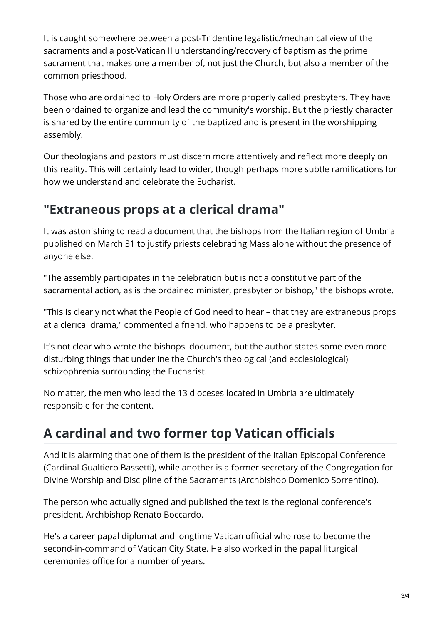It is caught somewhere between a post-Tridentine legalistic/mechanical view of the sacraments and a post-Vatican II understanding/recovery of baptism as the prime sacrament that makes one a member of, not just the Church, but also a member of the common priesthood.

Those who are ordained to Holy Orders are more properly called presbyters. They have been ordained to organize and lead the community's worship. But the priestly character is shared by the entire community of the baptized and is present in the worshipping assembly.

Our theologians and pastors must discern more attentively and reflect more deeply on this reality. This will certainly lead to wider, though perhaps more subtle ramifications for how we understand and celebrate the Eucharist.

### **"Extraneous props at a clerical drama"**

It was astonishing to read a [document](http://www.chiesainumbria.it/vescovi-umbri-alla-pandemia-del-coronavirus-sostituiamo-la-pandemia-della-preghiera-e-della-tenerezza/) that the bishops from the Italian region of Umbria published on March 31 to justify priests celebrating Mass alone without the presence of anyone else.

"The assembly participates in the celebration but is not a constitutive part of the sacramental action, as is the ordained minister, presbyter or bishop," the bishops wrote.

"This is clearly not what the People of God need to hear – that they are extraneous props at a clerical drama," commented a friend, who happens to be a presbyter.

It's not clear who wrote the bishops' document, but the author states some even more disturbing things that underline the Church's theological (and ecclesiological) schizophrenia surrounding the Eucharist.

No matter, the men who lead the 13 dioceses located in Umbria are ultimately responsible for the content.

## **A cardinal and two former top Vatican officials**

And it is alarming that one of them is the president of the Italian Episcopal Conference (Cardinal Gualtiero Bassetti), while another is a former secretary of the Congregation for Divine Worship and Discipline of the Sacraments (Archbishop Domenico Sorrentino).

The person who actually signed and published the text is the regional conference's president, Archbishop Renato Boccardo.

He's a career papal diplomat and longtime Vatican official who rose to become the second-in-command of Vatican City State. He also worked in the papal liturgical ceremonies office for a number of years.